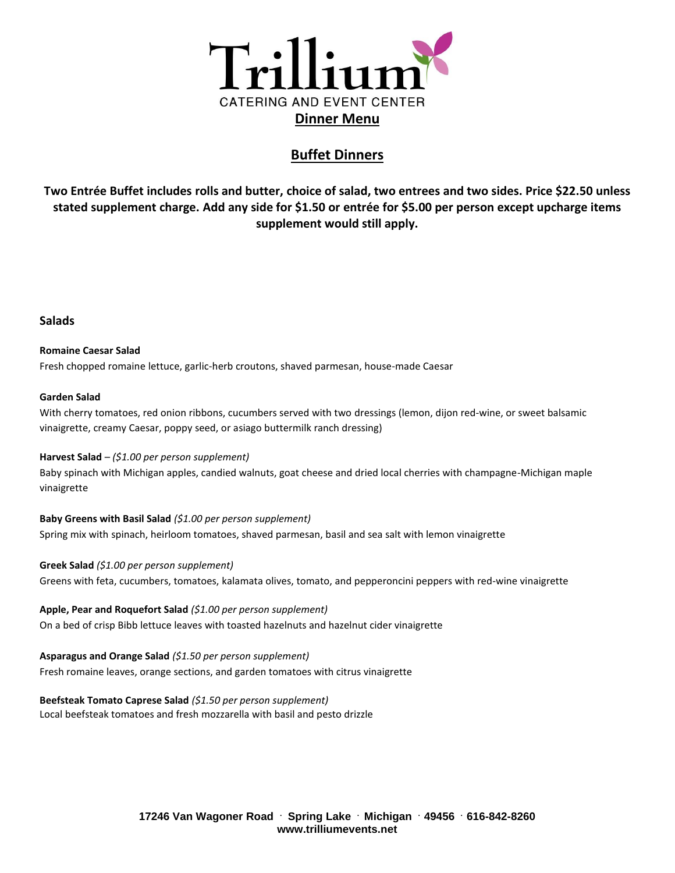

# **Buffet Dinners**

**Two Entrée Buffet includes rolls and butter, choice of salad, two entrees and two sides. Price \$22.50 unless stated supplement charge. Add any side for \$1.50 or entrée for \$5.00 per person except upcharge items supplement would still apply.**

### **Salads**

**Romaine Caesar Salad**  Fresh chopped romaine lettuce, garlic-herb croutons, shaved parmesan, house-made Caesar

#### **Garden Salad**

With cherry tomatoes, red onion ribbons, cucumbers served with two dressings (lemon, dijon red-wine, or sweet balsamic vinaigrette, creamy Caesar, poppy seed, or asiago buttermilk ranch dressing)

#### **Harvest Salad** – *(\$1.00 per person supplement)*

Baby spinach with Michigan apples, candied walnuts, goat cheese and dried local cherries with champagne-Michigan maple vinaigrette

**Baby Greens with Basil Salad** *(\$1.00 per person supplement)* Spring mix with spinach, heirloom tomatoes, shaved parmesan, basil and sea salt with lemon vinaigrette

#### **Greek Salad** *(\$1.00 per person supplement)*

Greens with feta, cucumbers, tomatoes, kalamata olives, tomato, and pepperoncini peppers with red-wine vinaigrette

**Apple, Pear and Roquefort Salad** *(\$1.00 per person supplement)* On a bed of crisp Bibb lettuce leaves with toasted hazelnuts and hazelnut cider vinaigrette

#### **Asparagus and Orange Salad** *(\$1.50 per person supplement)*

Fresh romaine leaves, orange sections, and garden tomatoes with citrus vinaigrette

**Beefsteak Tomato Caprese Salad** *(\$1.50 per person supplement)*

Local beefsteak tomatoes and fresh mozzarella with basil and pesto drizzle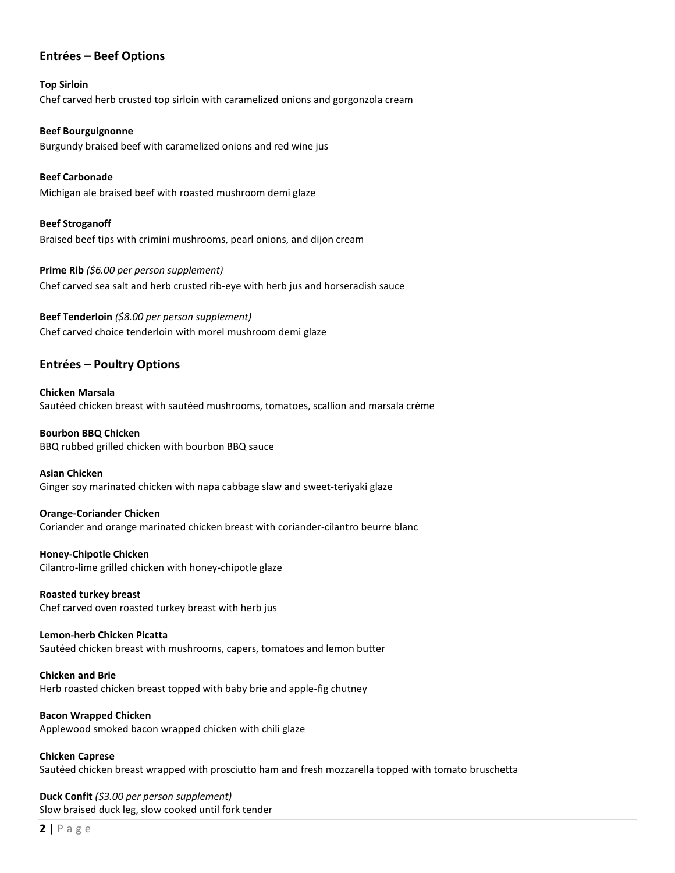## **Entrées – Beef Options**

**Top Sirloin** Chef carved herb crusted top sirloin with caramelized onions and gorgonzola cream

**Beef Bourguignonne** Burgundy braised beef with caramelized onions and red wine jus

**Beef Carbonade** Michigan ale braised beef with roasted mushroom demi glaze

**Beef Stroganoff** Braised beef tips with crimini mushrooms, pearl onions, and dijon cream

**Prime Rib** *(\$6.00 per person supplement)* Chef carved sea salt and herb crusted rib-eye with herb jus and horseradish sauce

**Beef Tenderloin** *(\$8.00 per person supplement)* Chef carved choice tenderloin with morel mushroom demi glaze

## **Entrées – Poultry Options**

**Chicken Marsala** Sautéed chicken breast with sautéed mushrooms, tomatoes, scallion and marsala crème

**Bourbon BBQ Chicken** BBQ rubbed grilled chicken with bourbon BBQ sauce

**Asian Chicken**

Ginger soy marinated chicken with napa cabbage slaw and sweet-teriyaki glaze

**Orange-Coriander Chicken** Coriander and orange marinated chicken breast with coriander-cilantro beurre blanc

**Honey-Chipotle Chicken** Cilantro-lime grilled chicken with honey-chipotle glaze

**Roasted turkey breast** Chef carved oven roasted turkey breast with herb jus

**Lemon-herb Chicken Picatta** Sautéed chicken breast with mushrooms, capers, tomatoes and lemon butter

**Chicken and Brie** Herb roasted chicken breast topped with baby brie and apple-fig chutney

**Bacon Wrapped Chicken** Applewood smoked bacon wrapped chicken with chili glaze

**Chicken Caprese** Sautéed chicken breast wrapped with prosciutto ham and fresh mozzarella topped with tomato bruschetta

**Duck Confit** *(\$3.00 per person supplement)* Slow braised duck leg, slow cooked until fork tender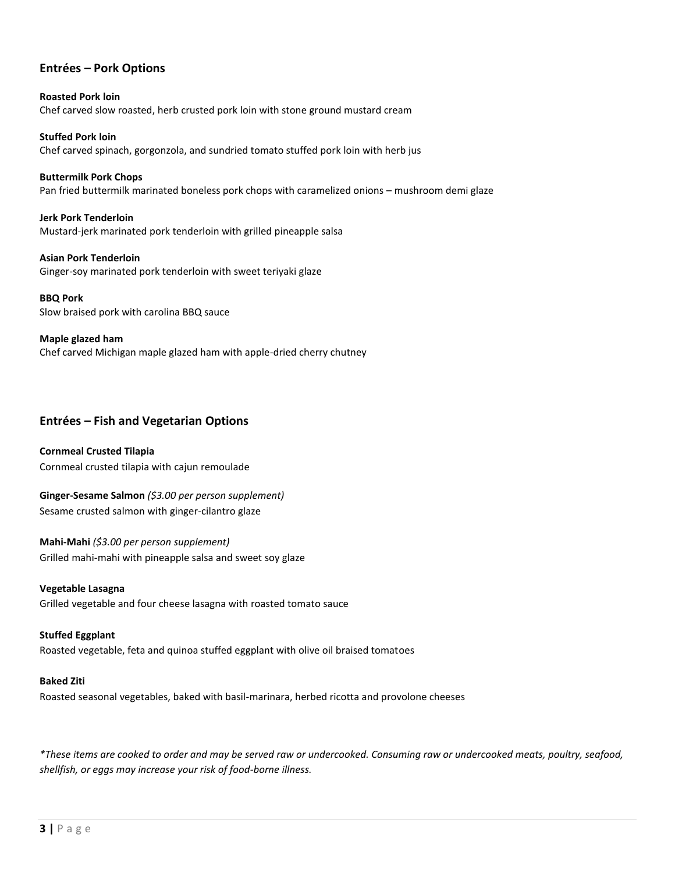### **Entrées – Pork Options**

**Roasted Pork loin** Chef carved slow roasted, herb crusted pork loin with stone ground mustard cream

**Stuffed Pork loin** Chef carved spinach, gorgonzola, and sundried tomato stuffed pork loin with herb jus

**Buttermilk Pork Chops** Pan fried buttermilk marinated boneless pork chops with caramelized onions – mushroom demi glaze

**Jerk Pork Tenderloin** Mustard-jerk marinated pork tenderloin with grilled pineapple salsa

**Asian Pork Tenderloin** Ginger-soy marinated pork tenderloin with sweet teriyaki glaze

**BBQ Pork** Slow braised pork with carolina BBQ sauce

**Maple glazed ham** Chef carved Michigan maple glazed ham with apple-dried cherry chutney

# **Entrées – Fish and Vegetarian Options**

**Cornmeal Crusted Tilapia** Cornmeal crusted tilapia with cajun remoulade

**Ginger-Sesame Salmon** *(\$3.00 per person supplement)* Sesame crusted salmon with ginger-cilantro glaze

**Mahi-Mahi** *(\$3.00 per person supplement)* Grilled mahi-mahi with pineapple salsa and sweet soy glaze

**Vegetable Lasagna** Grilled vegetable and four cheese lasagna with roasted tomato sauce

**Stuffed Eggplant** Roasted vegetable, feta and quinoa stuffed eggplant with olive oil braised tomatoes

#### **Baked Ziti**

Roasted seasonal vegetables, baked with basil-marinara, herbed ricotta and provolone cheeses

*\*These items are cooked to order and may be served raw or undercooked. Consuming raw or undercooked meats, poultry, seafood, shellfish, or eggs may increase your risk of food-borne illness.*